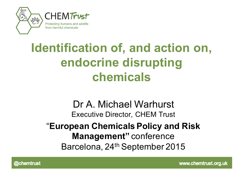

# **Identification of, and action on, endocrine disrupting chemicals**

#### Dr A. Michael Warhurst Executive Director, CHEM Trust

#### "**European Chemicals Policy and Risk Management"** conference Barcelona, 24th September 2015



www.chemtrust.org.uk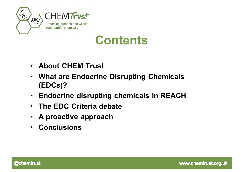



#### **Contents**

- **About CHEM Trust**
- **What are Endocrine Disrupting Chemicals (EDCs)?**
- **Endocrine disrupting chemicals in REACH**
- **The EDC Criteria debate**
- **A proactive approach**
- **Conclusions**

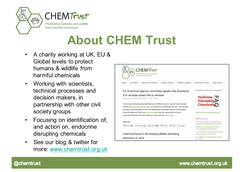



# **About CHEM Trust**

- A charity working at UK, EU & Global levels to protect humans & wildlife from harmful chemicals
- Working with scientists, technical processes and decision makers, in partnership with other civil society groups
- Focusing on identification of, and action on, endocrine disrupting chemicals
- See our blog & twitter for more: www.chemtrust.org.uk



@chemtrust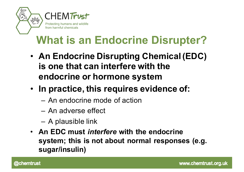

### **What is an Endocrine Disrupter?**

- **An Endocrine Disrupting Chemical (EDC) is one that can interfere with the endocrine or hormone system**
- **In practice, this requires evidence of:**
	- An endocrine mode of action
	- An adverse effect
	- A plausible link
- **An EDC must** *interfere* **with the endocrine system; this is not about normal responses (e.g. sugar/insulin)**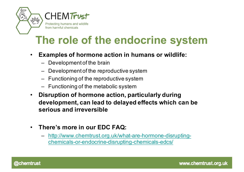

#### **The role of the endocrine system**

- **Examples of hormone action in humans or wildlife:**
	- Development of the brain
	- Development of the reproductive system
	- Functioning of the reproductive system
	- Functioning of the metabolic system
- **Disruption of hormone action, particularly during development, can lead to delayed effects which can be serious and irreversible**
- **There's more in our EDC FAQ:**
	- http://www.chemtrust.org.uk/what-are-hormone-disruptingchemicals-or-endocrine-disrupting-chemicals-edcs/

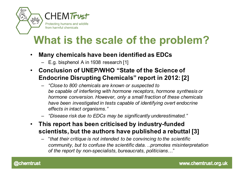

#### **What is the scale of the problem?**

- **Many chemicals have been identified as EDCs**
	- E.g. bisphenol A in 1938 research [1]
- **Conclusion of UNEP/WHO "State of the Science of Endocrine Disrupting Chemicals" report in 2012: [2]**
	- *"Close to 800 chemicals are known or suspected to be capable of interfering with hormone receptors, hormone synthesis or hormone conversion. However, only a small fraction of these chemicals have been investigated in tests capable of identifying overt endocrine effects in intact organisms."*
	- *"Disease risk due to EDCs may be significantly underestimated."*
- **This report has been criticised by industry-funded scientists, but the authors have published a rebuttal [3]**
	- "*that their critique is not intended to be convincing to the scientific community, but to confuse the scientific data*. *..promotes misinterpretation of the report by non-specialists, bureaucrats, politicians*…"

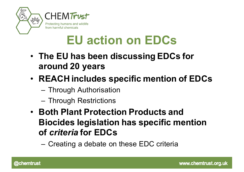



## **EU action on EDCs**

- **The EU has been discussing EDCs for around 20 years**
- **REACH includes specific mention of EDCs**
	- Through Authorisation
	- Through Restrictions
- **Both Plant Protection Products and Biocides legislation has specific mention of** *criteria* **for EDCs**
	- Creating a debate on these EDC criteria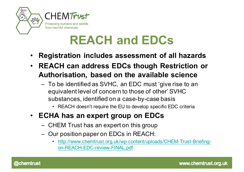



## **REACH and EDCs**

- **Registration includes assessment of all hazards**
- **REACH can address EDCs though Restriction or Authorisation, based on the available science**
	- To be identified as SVHC, an EDC must 'give rise to an equivalent level of concern to those of other' SVHC substances, identified on a case-by-case basis
		- REACH doesn't require the EU to develop specific EDC criteria
- **ECHA has an expert group on EDCs**
	- CHEM Trust has an expert on this group
	- Our position paper on EDCs in REACH:
		- http://www.chemtrust.org.uk/wp-content/uploads/CHEM-Trust-Briefingon-REACH-EDC-review-FINAL.pdf

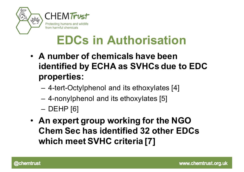



# **EDCs in Authorisation**

- **A number of chemicals have been identified by ECHA as SVHCs due to EDC properties:**
	- 4-tert-Octylphenol and its ethoxylates [4]
	- 4-nonylphenol and its ethoxylates [5]
	- DEHP [6]
- **An expert group working for the NGO Chem Sec has identified 32 other EDCs which meet SVHC criteria [7]**

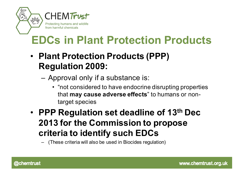

### **EDCs in Plant Protection Products**

- **Plant Protection Products (PPP) Regulation 2009:**
	- Approval only if a substance is:
		- "not considered to have endocrine disrupting properties that **may cause adverse effects**" to humans or nontarget species
- **PPP Regulation set deadline of 13th Dec 2013 for the Commission to propose criteria to identify such EDCs**

– (These criteria will also be used in Biocides regulation)

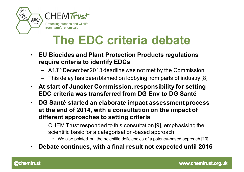



## **The EDC criteria debate**

- **EU Biocides and Plant Protection Products regulations require criteria to identify EDCs**
	- A13th December 2013 deadline was not met by the Commission
	- This delay has been blamed on lobbying from parts of industry [8]
- **At start of Juncker Commission, responsibility for setting EDC criteria was transferred from DG Env to DG Santé**
- **DG Santé started an elaborate impact assessment process at the end of 2014, with a consultation on the impact of different approaches to setting criteria**
	- CHEM Trust responded to this consultation [9], emphasising the scientific basic for a categorisation-based approach.
		- We also pointed out the scientific deficiencies of a potency-based approach [10]
- **Debate continues, with a final result not expected until 2016**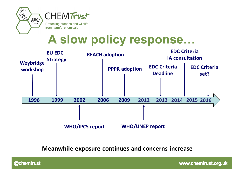



from harmful chemicals

## **A slow policy response…**



**Meanwhile exposure continues and concerns increase** 

@chemtrust

www.chemtrust.org.uk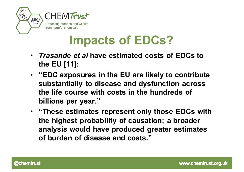



## **Impacts of EDCs?**

- *Trasande et al* **have estimated costs of EDCs to the EU [11]:**
- **"EDC exposures in the EU are likely to contribute substantially to disease and dysfunction across the life course with costs in the hundreds of billions per year."**
- **"These estimates represent only those EDCs with the highest probability of causation; a broader analysis would have produced greater estimates of burden of disease and costs."**

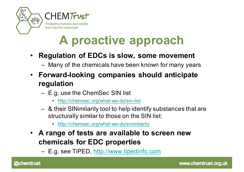



# **A proactive approach**

#### • **Regulation of EDCs is slow, some movement**

- Many of the chemicals have been known for many years
- **Forward-looking companies should anticipate regulation**
	- E.g. use the ChemSec SIN list
		- http://chemsec.org/what-we-do/sin-list
	- & their SINimilarity tool to help identify substances that are structurally similar to those on the SIN list:
		- http://chemsec.org/what-we-do/sinimilarity
- **A range of tests are available to screen new chemicals for EDC properties**
	- E.g. see TiPED, http://www.tipedinfo.com

**@chemtrust**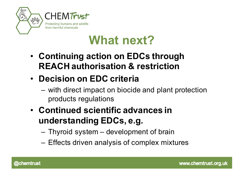



### **What next?**

- **Continuing action on EDCs through REACH authorisation & restriction**
- **Decision on EDC criteria**
	- with direct impact on biocide and plant protection products regulations
- **Continued scientific advances in understanding EDCs, e.g.**
	- Thyroid system development of brain
	- Effects driven analysis of complex mixtures

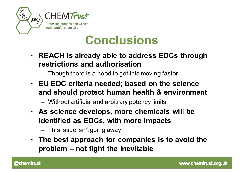



### **Conclusions**

- **REACH is already able to address EDCs through restrictions and authorisation**
	- Though there is a need to get this moving faster
- **EU EDC criteria needed; based on the science and should protect human health & environment** 
	- Without artificial and arbitrary potency limits
- **As science develops, more chemicals will be identified as EDCs, with more impacts**
	- This issue isn't going away
- **The best approach for companies is to avoid the problem – not fight the inevitable**